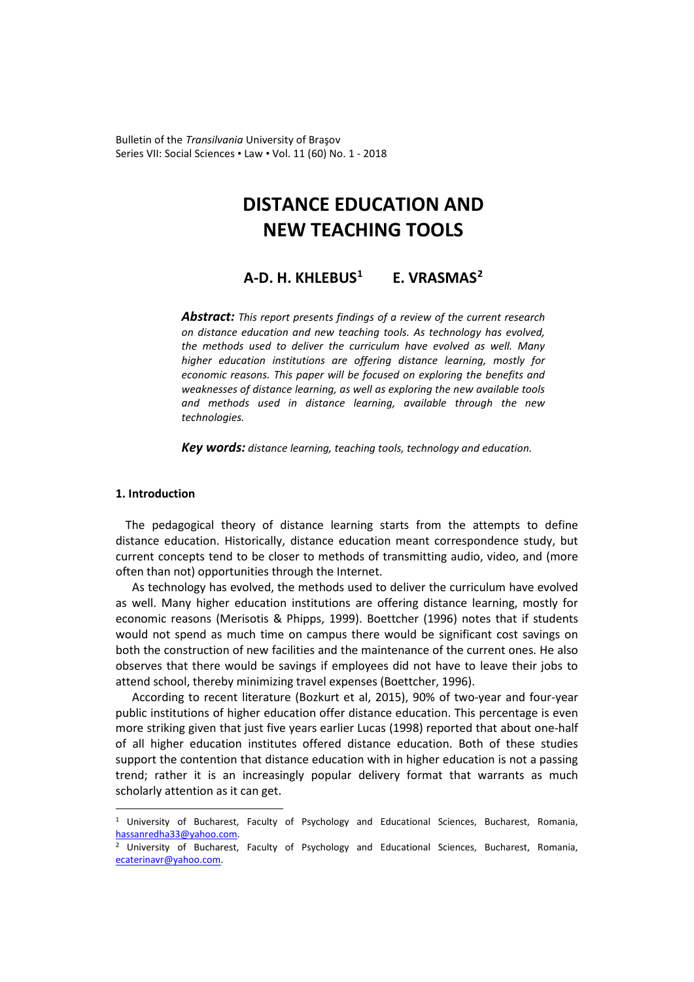Bulletin of the *Transilvania* University of Braşov Series VII: Social Sciences • Law • Vol. 11 (60) No. 1 - 2018

# **DISTANCE EDUCATION AND NEW TEACHING TOOLS**

## **A-D. H. KHLEBUS[1](#page-0-0) E. VRASMAS[2](#page-0-1)**

*Abstract: This report presents findings of a review of the current research on distance education and new teaching tools. As technology has evolved, the methods used to deliver the curriculum have evolved as well. Many higher education institutions are offering distance learning, mostly for economic reasons. This paper will be focused on exploring the benefits and weaknesses of distance learning, as well as exploring the new available tools and methods used in distance learning, available through the new technologies.*

*Key words: distance learning, teaching tools, technology and education.* 

#### **1. Introduction**

 $\overline{a}$ 

The pedagogical theory of distance learning starts from the attempts to define distance education. Historically, distance education meant correspondence study, but current concepts tend to be closer to methods of transmitting audio, video, and (more often than not) opportunities through the Internet.

As technology has evolved, the methods used to deliver the curriculum have evolved as well. Many higher education institutions are offering distance learning, mostly for economic reasons (Merisotis & Phipps, 1999). Boettcher (1996) notes that if students would not spend as much time on campus there would be significant cost savings on both the construction of new facilities and the maintenance of the current ones. He also observes that there would be savings if employees did not have to leave their jobs to attend school, thereby minimizing travel expenses (Boettcher, 1996).

According to recent literature (Bozkurt et al, 2015), 90% of two-year and four-year public institutions of higher education offer distance education. This percentage is even more striking given that just five years earlier Lucas (1998) reported that about one-half of all higher education institutes offered distance education. Both of these studies support the contention that distance education with in higher education is not a passing trend; rather it is an increasingly popular delivery format that warrants as much scholarly attention as it can get.

<span id="page-0-0"></span><sup>1</sup> University of Bucharest, Faculty of Psychology and Educational Sciences, Bucharest, Romania, hassanredha33@yahoo.com.<br><sup>2</sup> University of Bucharest, Faculty of Psychology and Educational Sciences, Bucharest, Romania,

<span id="page-0-1"></span>[ecaterinavr@yahoo.com.](mailto:ecaterinavr@yahoo.com)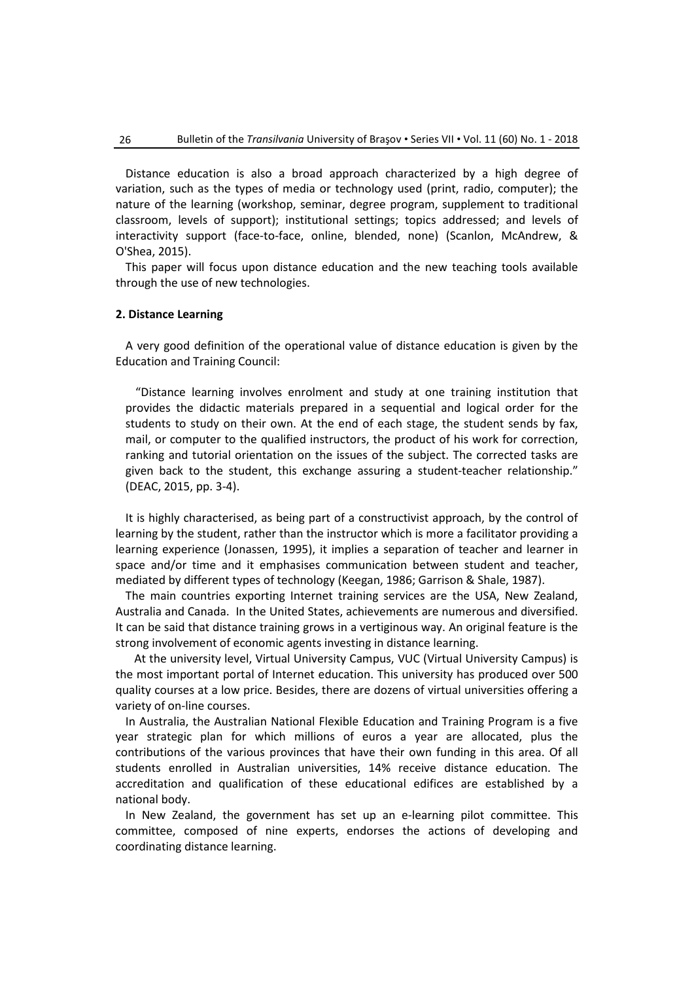Distance education is also a broad approach characterized by a high degree of variation, such as the types of media or technology used (print, radio, computer); the nature of the learning (workshop, seminar, degree program, supplement to traditional classroom, levels of support); institutional settings; topics addressed; and levels of interactivity support (face-to-face, online, blended, none) (Scanlon, McAndrew, & O'Shea, 2015).

This paper will focus upon distance education and the new teaching tools available through the use of new technologies.

#### **2. Distance Learning**

A very good definition of the operational value of distance education is given by the Education and Training Council:

"Distance learning involves enrolment and study at one training institution that provides the didactic materials prepared in a sequential and logical order for the students to study on their own. At the end of each stage, the student sends by fax, mail, or computer to the qualified instructors, the product of his work for correction, ranking and tutorial orientation on the issues of the subject. The corrected tasks are given back to the student, this exchange assuring a student-teacher relationship." (DEAC, 2015, pp. 3-4).

It is highly characterised, as being part of a constructivist approach, by the control of learning by the student, rather than the instructor which is more a facilitator providing a learning experience (Jonassen, 1995), it implies a separation of teacher and learner in space and/or time and it emphasises communication between student and teacher, mediated by different types of technology (Keegan, 1986; Garrison & Shale, 1987).

The main countries exporting Internet training services are the USA, New Zealand, Australia and Canada. In the United States, achievements are numerous and diversified. It can be said that distance training grows in a vertiginous way. An original feature is the strong involvement of economic agents investing in distance learning.

 At the university level, Virtual University Campus, VUC (Virtual University Campus) is the most important portal of Internet education. This university has produced over 500 quality courses at a low price. Besides, there are dozens of virtual universities offering a variety of on-line courses.

In Australia, the Australian National Flexible Education and Training Program is a five year strategic plan for which millions of euros a year are allocated, plus the contributions of the various provinces that have their own funding in this area. Of all students enrolled in Australian universities, 14% receive distance education. The accreditation and qualification of these educational edifices are established by a national body.

In New Zealand, the government has set up an e-learning pilot committee. This committee, composed of nine experts, endorses the actions of developing and coordinating distance learning.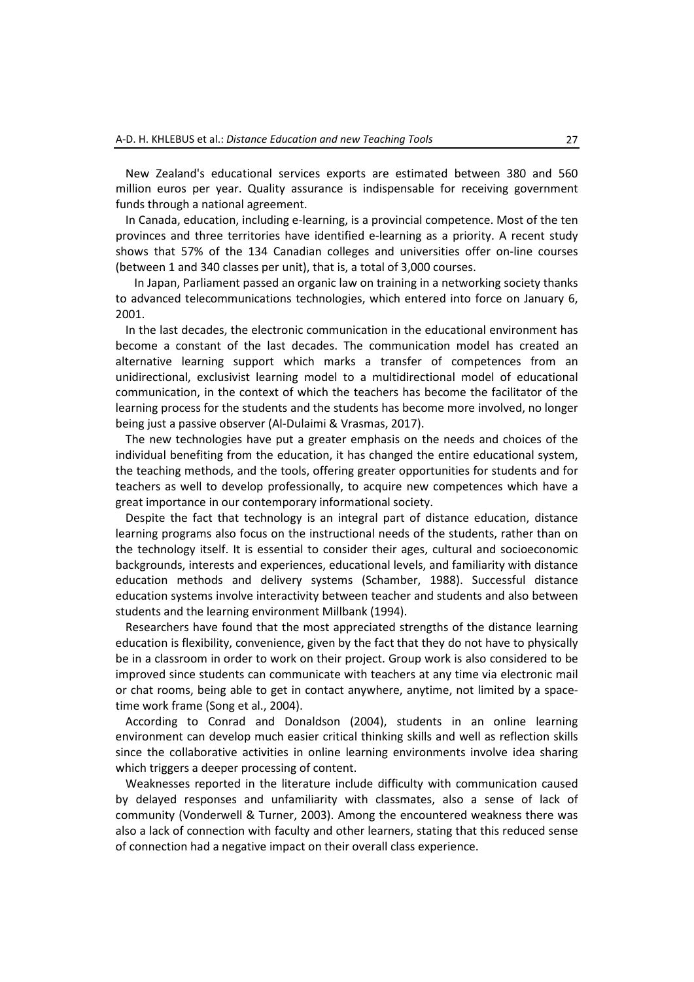New Zealand's educational services exports are estimated between 380 and 560 million euros per year. Quality assurance is indispensable for receiving government funds through a national agreement.

In Canada, education, including e-learning, is a provincial competence. Most of the ten provinces and three territories have identified e-learning as a priority. A recent study shows that 57% of the 134 Canadian colleges and universities offer on-line courses (between 1 and 340 classes per unit), that is, a total of 3,000 courses.

 In Japan, Parliament passed an organic law on training in a networking society thanks to advanced telecommunications technologies, which entered into force on January 6, 2001.

In the last decades, the electronic communication in the educational environment has become a constant of the last decades. The communication model has created an alternative learning support which marks a transfer of competences from an unidirectional, exclusivist learning model to a multidirectional model of educational communication, in the context of which the teachers has become the facilitator of the learning process for the students and the students has become more involved, no longer being just a passive observer (Al-Dulaimi & Vrasmas, 2017).

The new technologies have put a greater emphasis on the needs and choices of the individual benefiting from the education, it has changed the entire educational system, the teaching methods, and the tools, offering greater opportunities for students and for teachers as well to develop professionally, to acquire new competences which have a great importance in our contemporary informational society.

Despite the fact that technology is an integral part of distance education, distance learning programs also focus on the instructional needs of the students, rather than on the technology itself. It is essential to consider their ages, cultural and socioeconomic backgrounds, interests and experiences, educational levels, and familiarity with distance education methods and delivery systems (Schamber, 1988). Successful distance education systems involve interactivity between teacher and students and also between students and the learning environment Millbank (1994).

Researchers have found that the most appreciated strengths of the distance learning education is flexibility, convenience, given by the fact that they do not have to physically be in a classroom in order to work on their project. Group work is also considered to be improved since students can communicate with teachers at any time via electronic mail or chat rooms, being able to get in contact anywhere, anytime, not limited by a spacetime work frame (Song et al., 2004).

According to Conrad and Donaldson (2004), students in an online learning environment can develop much easier critical thinking skills and well as reflection skills since the collaborative activities in online learning environments involve idea sharing which triggers a deeper processing of content.

Weaknesses reported in the literature include difficulty with communication caused by delayed responses and unfamiliarity with classmates, also a sense of lack of community (Vonderwell & Turner, 2003). Among the encountered weakness there was also a lack of connection with faculty and other learners, stating that this reduced sense of connection had a negative impact on their overall class experience.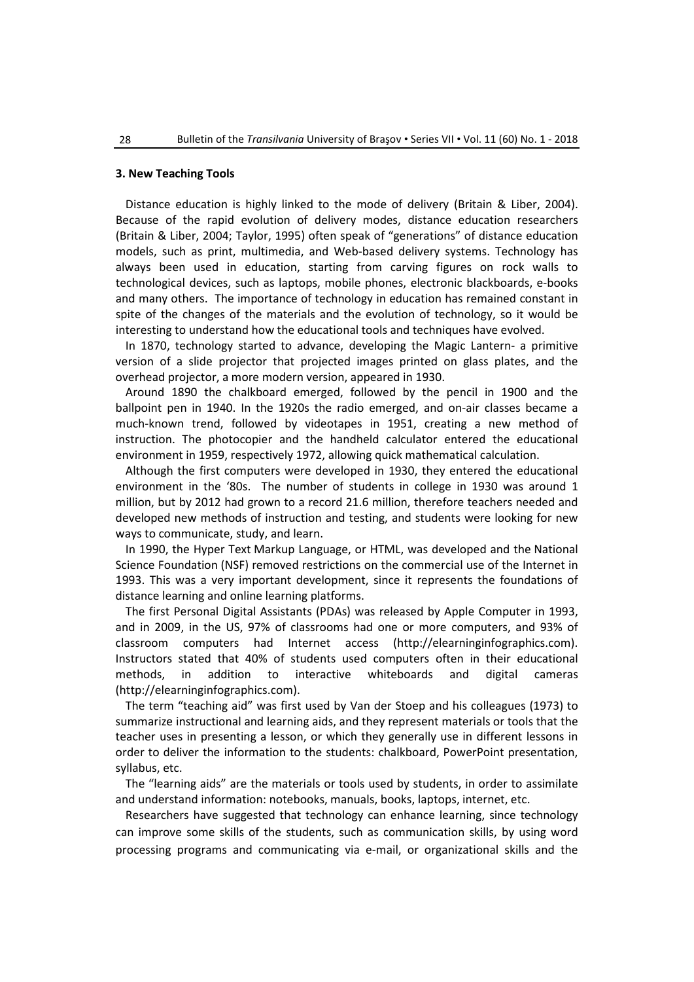#### **3. New Teaching Tools**

Distance education is highly linked to the mode of delivery (Britain & Liber, 2004). Because of the rapid evolution of delivery modes, distance education researchers (Britain & Liber, 2004; Taylor, 1995) often speak of "generations" of distance education models, such as print, multimedia, and Web-based delivery systems. Technology has always been used in education, starting from carving figures on rock walls to technological devices, such as laptops, mobile phones, electronic blackboards, e-books and many others. The importance of technology in education has remained constant in spite of the changes of the materials and the evolution of technology, so it would be interesting to understand how the educational tools and techniques have evolved.

In 1870, technology started to advance, developing the Magic Lantern- a primitive version of a slide projector that projected images printed on glass plates, and the overhead projector, a more modern version, appeared in 1930.

Around 1890 the chalkboard emerged, followed by the pencil in 1900 and the ballpoint pen in 1940. In the 1920s the radio emerged, and on-air classes became a much-known trend, followed by videotapes in 1951, creating a new method of instruction. The photocopier and the handheld calculator entered the educational environment in 1959, respectively 1972, allowing quick mathematical calculation.

Although the first computers were developed in 1930, they entered the educational environment in the '80s. The number of students in college in 1930 was around 1 million, but by 2012 had grown to a record 21.6 million, therefore teachers needed and developed new methods of instruction and testing, and students were looking for new ways to communicate, study, and learn.

In 1990, the Hyper Text Markup Language, or HTML, was developed and the National Science Foundation (NSF) removed restrictions on the commercial use of the Internet in 1993. This was a very important development, since it represents the foundations of distance learning and online learning platforms.

The first Personal Digital Assistants (PDAs) was released by Apple Computer in 1993, and in 2009, in the US, 97% of classrooms had one or more computers, and 93% of classroom computers had Internet access (http://elearninginfographics.com). Instructors stated that 40% of students used computers often in their educational methods, in addition to interactive whiteboards and digital cameras (http://elearninginfographics.com).

The term "teaching aid" was first used by Van der Stoep and his colleagues (1973) to summarize instructional and learning aids, and they represent materials or tools that the teacher uses in presenting a lesson, or which they generally use in different lessons in order to deliver the information to the students: chalkboard, PowerPoint presentation, syllabus, etc.

The "learning aids" are the materials or tools used by students, in order to assimilate and understand information: notebooks, manuals, books, laptops, internet, etc.

Researchers have suggested that technology can enhance learning, since technology can improve some skills of the students, such as communication skills, by using word processing programs and communicating via e-mail, or organizational skills and the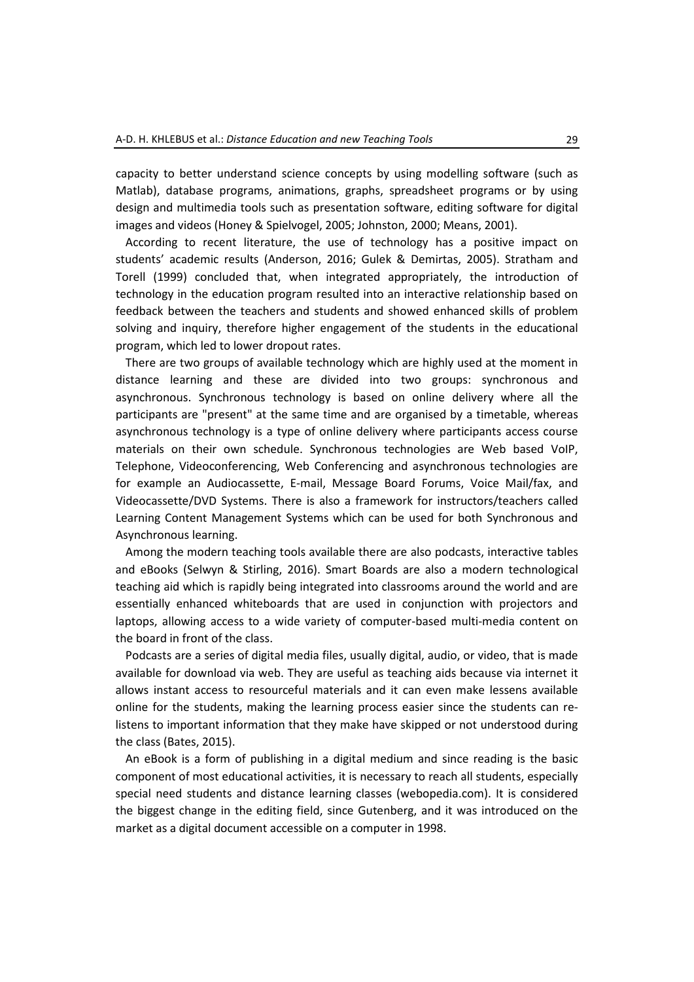capacity to better understand science concepts by using modelling software (such as Matlab), database programs, animations, graphs, spreadsheet programs or by using design and multimedia tools such as presentation software, editing software for digital images and videos (Honey & Spielvogel, 2005; Johnston, 2000; Means, 2001).

According to recent literature, the use of technology has a positive impact on students' academic results (Anderson, 2016; Gulek & Demirtas, 2005). Stratham and Torell (1999) concluded that, when integrated appropriately, the introduction of technology in the education program resulted into an interactive relationship based on feedback between the teachers and students and showed enhanced skills of problem solving and inquiry, therefore higher engagement of the students in the educational program, which led to lower dropout rates.

There are two groups of available technology which are highly used at the moment in distance learning and these are divided into two groups: synchronous and asynchronous. Synchronous technology is based on online delivery where all the participants are "present" at the same time and are organised by a timetable, whereas asynchronous technology is a type of online delivery where participants access course materials on their own schedule. Synchronous technologies are Web based VoIP, Telephone, Videoconferencing, Web Conferencing and asynchronous technologies are for example an Audiocassette, E-mail, Message Board Forums, Voice Mail/fax, and Videocassette/DVD Systems. There is also a framework for instructors/teachers called Learning Content Management Systems which can be used for both Synchronous and Asynchronous learning.

Among the modern teaching tools available there are also podcasts, interactive tables and eBooks (Selwyn & Stirling, 2016). Smart Boards are also a modern technological teaching aid which is rapidly being integrated into classrooms around the world and are essentially enhanced whiteboards that are used in conjunction with projectors and laptops, allowing access to a wide variety of computer-based multi-media content on the board in front of the class.

Podcasts are a series of digital media files, usually digital, audio, or video, that is made available for download via web. They are useful as teaching aids because via internet it allows instant access to resourceful materials and it can even make lessens available online for the students, making the learning process easier since the students can relistens to important information that they make have skipped or not understood during the class (Bates, 2015).

An eBook is a form of publishing in a digital medium and since reading is the basic component of most educational activities, it is necessary to reach all students, especially special need students and distance learning classes (webopedia.com). It is considered the biggest change in the editing field, since Gutenberg, and it was introduced on the market as a digital document accessible on a computer in 1998.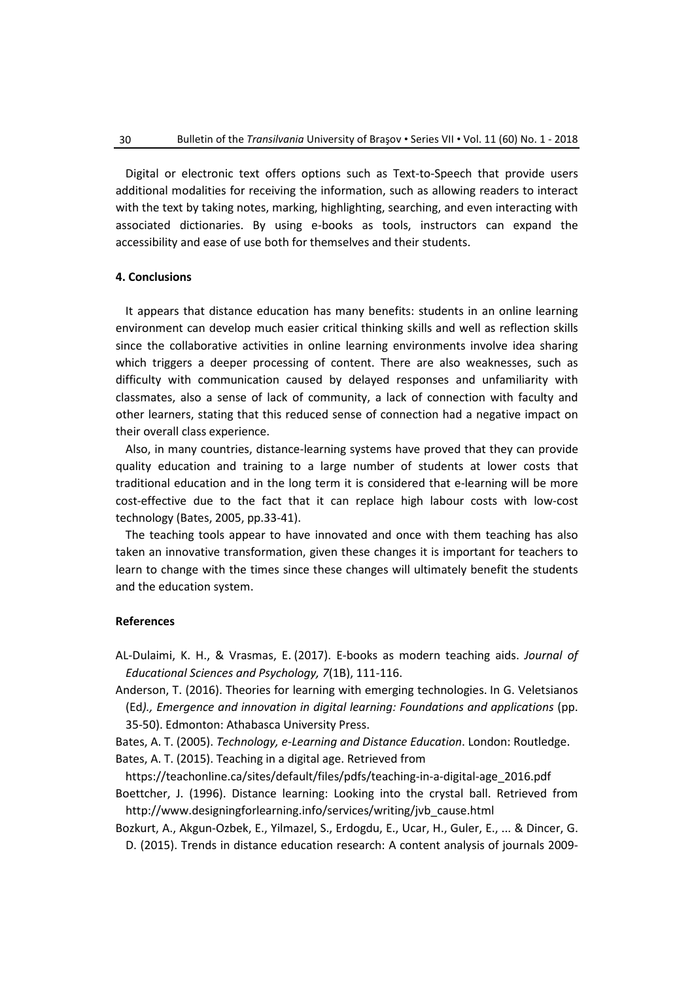Digital or electronic text offers options such as Text-to-Speech that provide users additional modalities for receiving the information, such as allowing readers to interact with the text by taking notes, marking, highlighting, searching, and even interacting with associated dictionaries. By using e-books as tools, instructors can expand the accessibility and ease of use both for themselves and their students.

### **4. Conclusions**

It appears that distance education has many benefits: students in an online learning environment can develop much easier critical thinking skills and well as reflection skills since the collaborative activities in online learning environments involve idea sharing which triggers a deeper processing of content. There are also weaknesses, such as difficulty with communication caused by delayed responses and unfamiliarity with classmates, also a sense of lack of community, a lack of connection with faculty and other learners, stating that this reduced sense of connection had a negative impact on their overall class experience.

Also, in many countries, distance-learning systems have proved that they can provide quality education and training to a large number of students at lower costs that traditional education and in the long term it is considered that e-learning will be more cost-effective due to the fact that it can replace high labour costs with low-cost technology (Bates, 2005, pp.33-41).

The teaching tools appear to have innovated and once with them teaching has also taken an innovative transformation, given these changes it is important for teachers to learn to change with the times since these changes will ultimately benefit the students and the education system.

#### **References**

- AL-Dulaimi, K. H., & Vrasmas, E. (2017). E-books as modern teaching aids. *Journal of Educational Sciences and Psychology, 7*(1B), 111-116.
- Anderson, T. (2016). Theories for learning with emerging technologies. In G. Veletsianos (Ed*)., Emergence and innovation in digital learning: Foundations and applications* (pp. 35-50). Edmonton: Athabasca University Press.
- Bates, A. T. (2005). *Technology, e-Learning and Distance Education*. London: Routledge.
- Bates, A. T. (2015). Teaching in a digital age. Retrieved from
- https://teachonline.ca/sites/default/files/pdfs/teaching-in-a-digital-age\_2016.pdf Boettcher, J. (1996). Distance learning: Looking into the crystal ball. Retrieved from
- http://www.designingforlearning.info/services/writing/jvb\_cause.html Bozkurt, A., Akgun-Ozbek, E., Yilmazel, S., Erdogdu, E., Ucar, H., Guler, E., ... & Dincer, G.
- D. (2015). Trends in distance education research: A content analysis of journals 2009-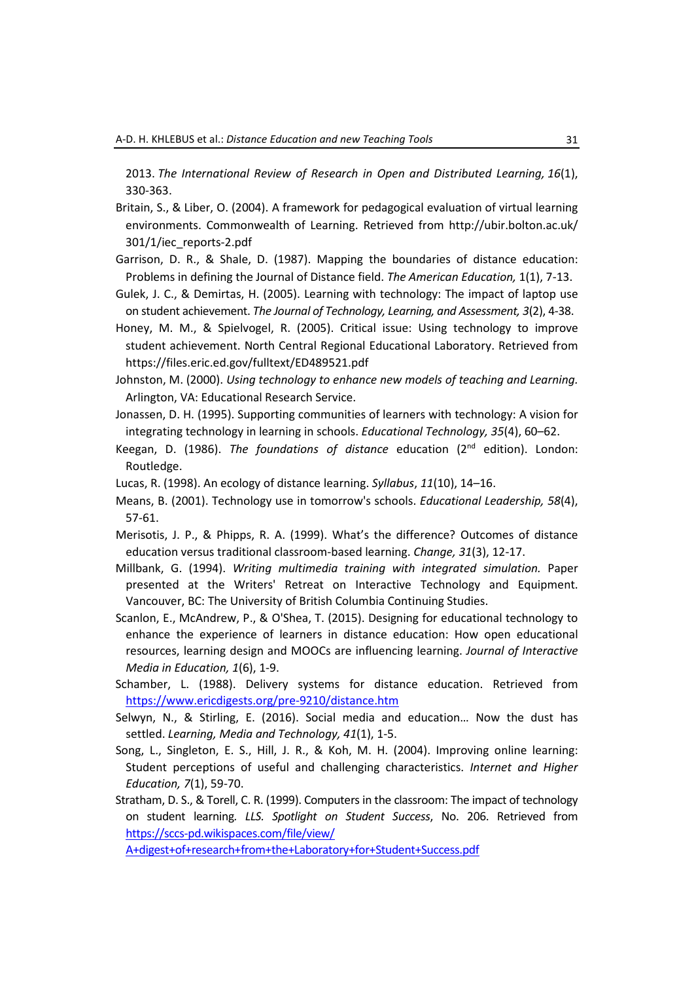2013. *The International Review of Research in Open and Distributed Learning, 16*(1), 330-363.

- Britain, S., & Liber, O. (2004). A framework for pedagogical evaluation of virtual learning environments. Commonwealth of Learning. Retrieved from http://ubir.bolton.ac.uk/ 301/1/iec\_reports-2.pdf
- Garrison, D. R., & Shale, D. (1987). Mapping the boundaries of distance education: Problems in defining the Journal of Distance field. *The American Education,* 1(1), 7-13.
- Gulek, J. C., & Demirtas, H. (2005). Learning with technology: The impact of laptop use on student achievement. *The Journal of Technology, Learning, and Assessment, 3*(2), 4-38.
- Honey, M. M., & Spielvogel, R. (2005). Critical issue: Using technology to improve student achievement. North Central Regional Educational Laboratory. Retrieved from https://files.eric.ed.gov/fulltext/ED489521.pdf
- Johnston, M. (2000). *Using technology to enhance new models of teaching and Learning.* Arlington, VA: Educational Research Service.
- Jonassen, D. H. (1995). Supporting communities of learners with technology: A vision for integrating technology in learning in schools. *Educational Technology, 35*(4), 60–62.
- Keegan, D. (1986). *The foundations of distance* education (2nd edition). London: Routledge.
- Lucas, R. (1998). An ecology of distance learning. *Syllabus*, *11*(10), 14–16.
- Means, B. (2001). Technology use in tomorrow's schools. *Educational Leadership, 58*(4), 57-61.
- Merisotis, J. P., & Phipps, R. A. (1999). What's the difference? Outcomes of distance education versus traditional classroom-based learning. *Change, 31*(3), 12-17.
- Millbank, G. (1994). *Writing multimedia training with integrated simulation.* Paper presented at the Writers' Retreat on Interactive Technology and Equipment. Vancouver, BC: The University of British Columbia Continuing Studies.
- Scanlon, E., McAndrew, P., & O'Shea, T. (2015). Designing for educational technology to enhance the experience of learners in distance education: How open educational resources, learning design and MOOCs are influencing learning. *Journal of Interactive Media in Education, 1*(6), 1-9.
- Schamber, L. (1988). Delivery systems for distance education. Retrieved from <https://www.ericdigests.org/pre-9210/distance.htm>
- Selwyn, N., & Stirling, E. (2016). Social media and education… Now the dust has settled. *Learning, Media and Technology, 41*(1), 1-5.
- Song, L., Singleton, E. S., Hill, J. R., & Koh, M. H. (2004). Improving online learning: Student perceptions of useful and challenging characteristics. *Internet and Higher Education, 7*(1), 59-70.
- Stratham, D. S., & Torell, C. R. (1999). Computers in the classroom: The impact of technology on student learning*. LLS. Spotlight on Student Success*, No. 206. Retrieved from [https://sccs-pd.wikispaces.com/file/view/](https://sccs-pd.wikispaces.com/file/view/%20A+digest+of+research+from+the+Laboratory+for+Student+Success.pdf)

[A+digest+of+research+from+the+Laboratory+for+Student+Success.pdf](https://sccs-pd.wikispaces.com/file/view/%20A+digest+of+research+from+the+Laboratory+for+Student+Success.pdf)